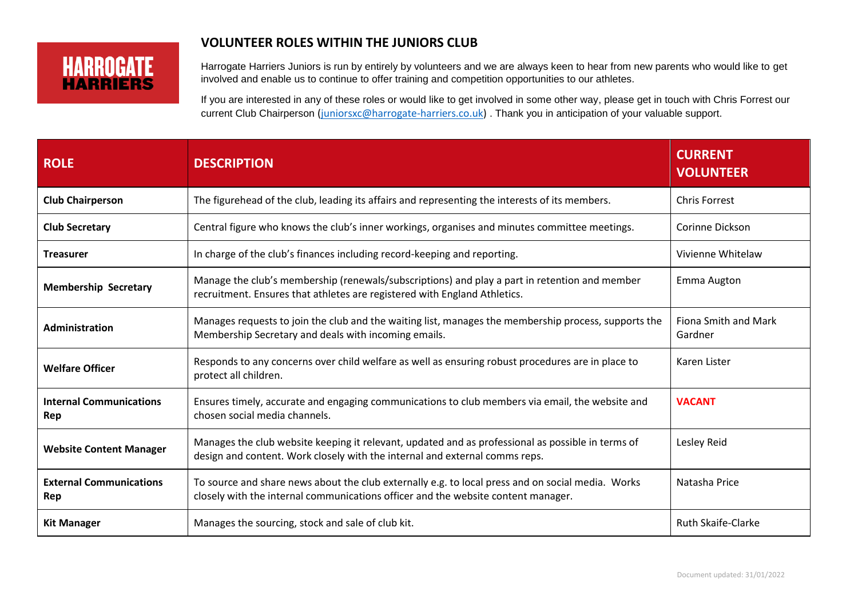## **VOLUNTEER ROLES WITHIN THE JUNIORS CLUB**

## **HARROGATE HARRIFRS**

Harrogate Harriers Juniors is run by entirely by volunteers and we are always keen to hear from new parents who would like to get involved and enable us to continue to offer training and competition opportunities to our athletes.

If you are interested in any of these roles or would like to get involved in some other way, please get in touch with Chris Forrest our current Club Chairperson [\(juniorsxc@harrogate-harriers.co.uk\)](mailto:juniorsxc@harrogate-harriers.co.uk) . Thank you in anticipation of your valuable support.

| <b>ROLE</b>                           | <b>DESCRIPTION</b>                                                                                                                                                                     | <b>CURRENT</b><br><b>VOLUNTEER</b> |
|---------------------------------------|----------------------------------------------------------------------------------------------------------------------------------------------------------------------------------------|------------------------------------|
| <b>Club Chairperson</b>               | The figurehead of the club, leading its affairs and representing the interests of its members.                                                                                         | <b>Chris Forrest</b>               |
| <b>Club Secretary</b>                 | Central figure who knows the club's inner workings, organises and minutes committee meetings.                                                                                          | Corinne Dickson                    |
| <b>Treasurer</b>                      | In charge of the club's finances including record-keeping and reporting.                                                                                                               | Vivienne Whitelaw                  |
| <b>Membership Secretary</b>           | Manage the club's membership (renewals/subscriptions) and play a part in retention and member<br>recruitment. Ensures that athletes are registered with England Athletics.             | Emma Augton                        |
| Administration                        | Manages requests to join the club and the waiting list, manages the membership process, supports the<br>Membership Secretary and deals with incoming emails.                           | Fiona Smith and Mark<br>Gardner    |
| <b>Welfare Officer</b>                | Responds to any concerns over child welfare as well as ensuring robust procedures are in place to<br>protect all children.                                                             | Karen Lister                       |
| <b>Internal Communications</b><br>Rep | Ensures timely, accurate and engaging communications to club members via email, the website and<br>chosen social media channels.                                                       | <b>VACANT</b>                      |
| <b>Website Content Manager</b>        | Manages the club website keeping it relevant, updated and as professional as possible in terms of<br>design and content. Work closely with the internal and external comms reps.       | Lesley Reid                        |
| <b>External Communications</b><br>Rep | To source and share news about the club externally e.g. to local press and on social media. Works<br>closely with the internal communications officer and the website content manager. | Natasha Price                      |
| <b>Kit Manager</b>                    | Manages the sourcing, stock and sale of club kit.                                                                                                                                      | Ruth Skaife-Clarke                 |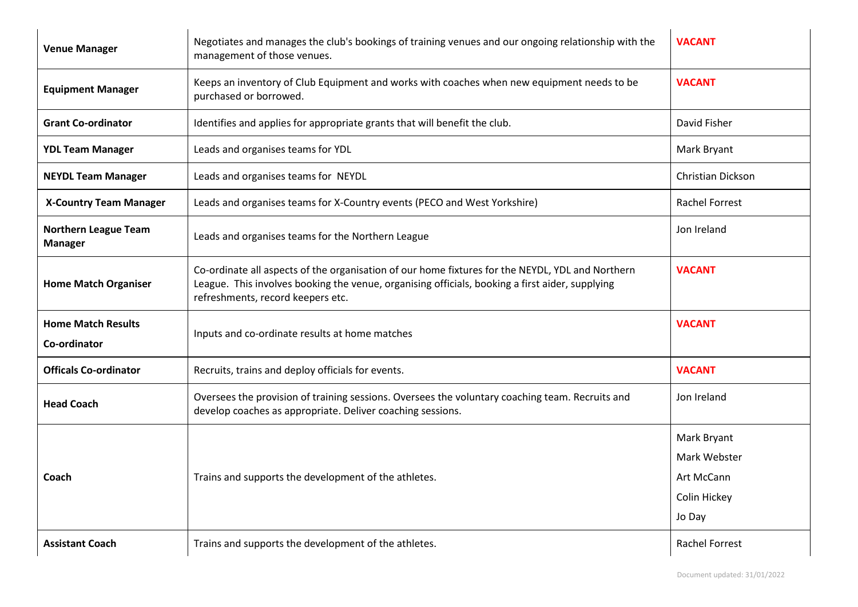| <b>Venue Manager</b>                          | Negotiates and manages the club's bookings of training venues and our ongoing relationship with the<br>management of those venues.                                                                                                       | <b>VACANT</b>                                                       |
|-----------------------------------------------|------------------------------------------------------------------------------------------------------------------------------------------------------------------------------------------------------------------------------------------|---------------------------------------------------------------------|
| <b>Equipment Manager</b>                      | Keeps an inventory of Club Equipment and works with coaches when new equipment needs to be<br>purchased or borrowed.                                                                                                                     | <b>VACANT</b>                                                       |
| <b>Grant Co-ordinator</b>                     | Identifies and applies for appropriate grants that will benefit the club.                                                                                                                                                                | David Fisher                                                        |
| <b>YDL Team Manager</b>                       | Leads and organises teams for YDL                                                                                                                                                                                                        | Mark Bryant                                                         |
| <b>NEYDL Team Manager</b>                     | Leads and organises teams for NEYDL                                                                                                                                                                                                      | <b>Christian Dickson</b>                                            |
| <b>X-Country Team Manager</b>                 | Leads and organises teams for X-Country events (PECO and West Yorkshire)                                                                                                                                                                 | <b>Rachel Forrest</b>                                               |
| <b>Northern League Team</b><br><b>Manager</b> | Leads and organises teams for the Northern League                                                                                                                                                                                        | Jon Ireland                                                         |
| <b>Home Match Organiser</b>                   | Co-ordinate all aspects of the organisation of our home fixtures for the NEYDL, YDL and Northern<br>League. This involves booking the venue, organising officials, booking a first aider, supplying<br>refreshments, record keepers etc. | <b>VACANT</b>                                                       |
| <b>Home Match Results</b><br>Co-ordinator     | Inputs and co-ordinate results at home matches                                                                                                                                                                                           | <b>VACANT</b>                                                       |
| <b>Officals Co-ordinator</b>                  | Recruits, trains and deploy officials for events.                                                                                                                                                                                        | <b>VACANT</b>                                                       |
| <b>Head Coach</b>                             | Oversees the provision of training sessions. Oversees the voluntary coaching team. Recruits and<br>develop coaches as appropriate. Deliver coaching sessions.                                                                            | Jon Ireland                                                         |
| Coach                                         | Trains and supports the development of the athletes.                                                                                                                                                                                     | Mark Bryant<br>Mark Webster<br>Art McCann<br>Colin Hickey<br>Jo Day |
| <b>Assistant Coach</b>                        | Trains and supports the development of the athletes.                                                                                                                                                                                     | <b>Rachel Forrest</b>                                               |